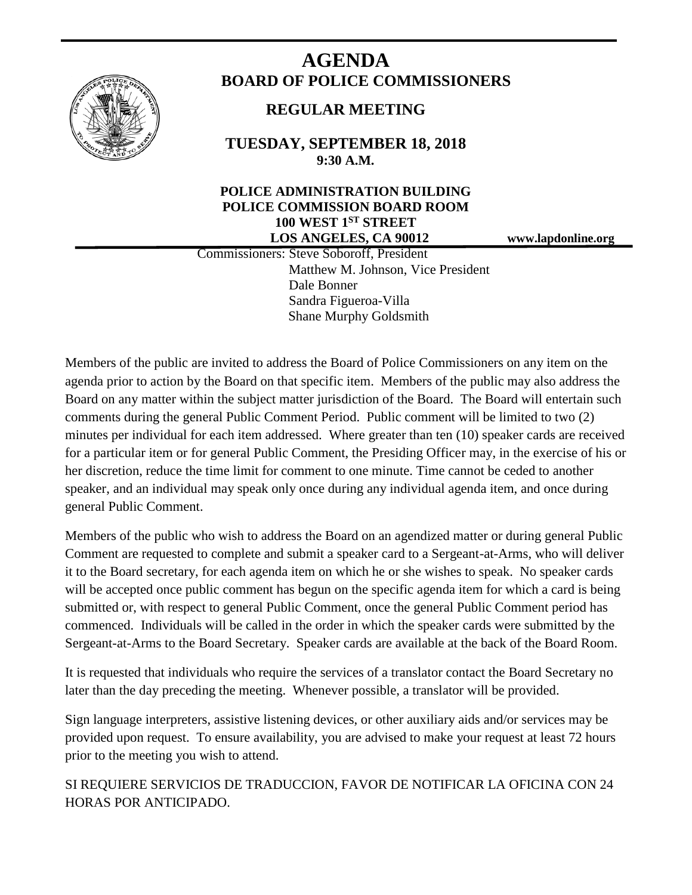

# **AGENDA BOARD OF POLICE COMMISSIONERS**

## **REGULAR MEETING**

**TUESDAY, SEPTEMBER 18, 2018 9:30 A.M.**

## **POLICE ADMINISTRATION BUILDING POLICE COMMISSION BOARD ROOM 100 WEST 1ST STREET LOS ANGELES, CA 90012 www.lapdonline.org**

 Commissioners: Steve Soboroff, President Matthew M. Johnson, Vice President Dale Bonner Sandra Figueroa-Villa Shane Murphy Goldsmith

Members of the public are invited to address the Board of Police Commissioners on any item on the agenda prior to action by the Board on that specific item. Members of the public may also address the Board on any matter within the subject matter jurisdiction of the Board. The Board will entertain such comments during the general Public Comment Period. Public comment will be limited to two (2) minutes per individual for each item addressed. Where greater than ten (10) speaker cards are received for a particular item or for general Public Comment, the Presiding Officer may, in the exercise of his or her discretion, reduce the time limit for comment to one minute. Time cannot be ceded to another speaker, and an individual may speak only once during any individual agenda item, and once during general Public Comment.

Members of the public who wish to address the Board on an agendized matter or during general Public Comment are requested to complete and submit a speaker card to a Sergeant-at-Arms, who will deliver it to the Board secretary, for each agenda item on which he or she wishes to speak. No speaker cards will be accepted once public comment has begun on the specific agenda item for which a card is being submitted or, with respect to general Public Comment, once the general Public Comment period has commenced. Individuals will be called in the order in which the speaker cards were submitted by the Sergeant-at-Arms to the Board Secretary. Speaker cards are available at the back of the Board Room.

It is requested that individuals who require the services of a translator contact the Board Secretary no later than the day preceding the meeting. Whenever possible, a translator will be provided.

Sign language interpreters, assistive listening devices, or other auxiliary aids and/or services may be provided upon request. To ensure availability, you are advised to make your request at least 72 hours prior to the meeting you wish to attend.

SI REQUIERE SERVICIOS DE TRADUCCION, FAVOR DE NOTIFICAR LA OFICINA CON 24 HORAS POR ANTICIPADO.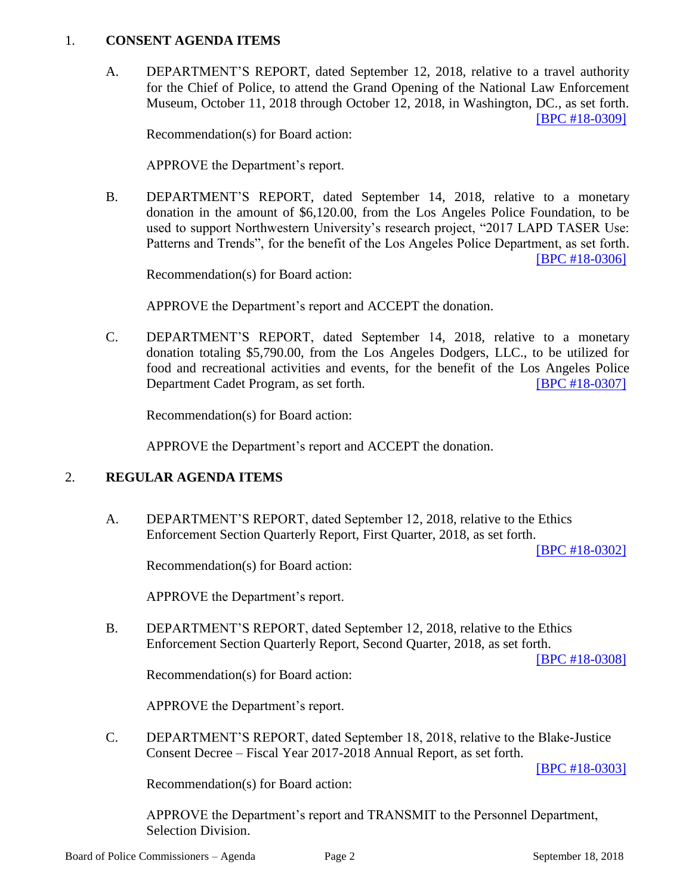#### 1. **CONSENT AGENDA ITEMS**

A. DEPARTMENT'S REPORT, dated September 12, 2018, relative to a travel authority for the Chief of Police, to attend the Grand Opening of the National Law Enforcement Museum, October 11, 2018 through October 12, 2018, in Washington, DC., as set forth. [\[BPC #18-0309\]](http://www.lapdpolicecom.lacity.org/091818/BPC_18-0309.pdf)

Recommendation(s) for Board action:

APPROVE the Department's report.

B. DEPARTMENT'S REPORT, dated September 14, 2018, relative to a monetary donation in the amount of \$6,120.00, from the Los Angeles Police Foundation, to be used to support Northwestern University's research project, "2017 LAPD TASER Use: Patterns and Trends", for the benefit of the Los Angeles Police Department, as set forth. [\[BPC #18-0306\]](http://www.lapdpolicecom.lacity.org/091818/BPC_18-0306.pdf)

Recommendation(s) for Board action:

APPROVE the Department's report and ACCEPT the donation.

C. DEPARTMENT'S REPORT, dated September 14, 2018, relative to a monetary donation totaling \$5,790.00, from the Los Angeles Dodgers, LLC., to be utilized for food and recreational activities and events, for the benefit of the Los Angeles Police Department Cadet Program, as set forth. [\[BPC #18-0307\]](http://www.lapdpolicecom.lacity.org/091818/BPC_18-0307.pdf)

Recommendation(s) for Board action:

APPROVE the Department's report and ACCEPT the donation.

#### 2. **REGULAR AGENDA ITEMS**

A. DEPARTMENT'S REPORT, dated September 12, 2018, relative to the Ethics Enforcement Section Quarterly Report, First Quarter, 2018, as set forth.

[\[BPC #18-0302\]](http://www.lapdpolicecom.lacity.org/091818/BPC_18-0302.pdf)

Recommendation(s) for Board action:

APPROVE the Department's report.

B. DEPARTMENT'S REPORT, dated September 12, 2018, relative to the Ethics Enforcement Section Quarterly Report, Second Quarter, 2018, as set forth.

[\[BPC #18-0308\]](http://www.lapdpolicecom.lacity.org/091818/BPC_18-0308.pdf)

Recommendation(s) for Board action:

APPROVE the Department's report.

C. DEPARTMENT'S REPORT, dated September 18, 2018, relative to the Blake-Justice Consent Decree – Fiscal Year 2017-2018 Annual Report, as set forth.

[\[BPC #18-0303\]](http://www.lapdpolicecom.lacity.org/091818/BPC_18-0303.pdf)

Recommendation(s) for Board action:

APPROVE the Department's report and TRANSMIT to the Personnel Department, Selection Division.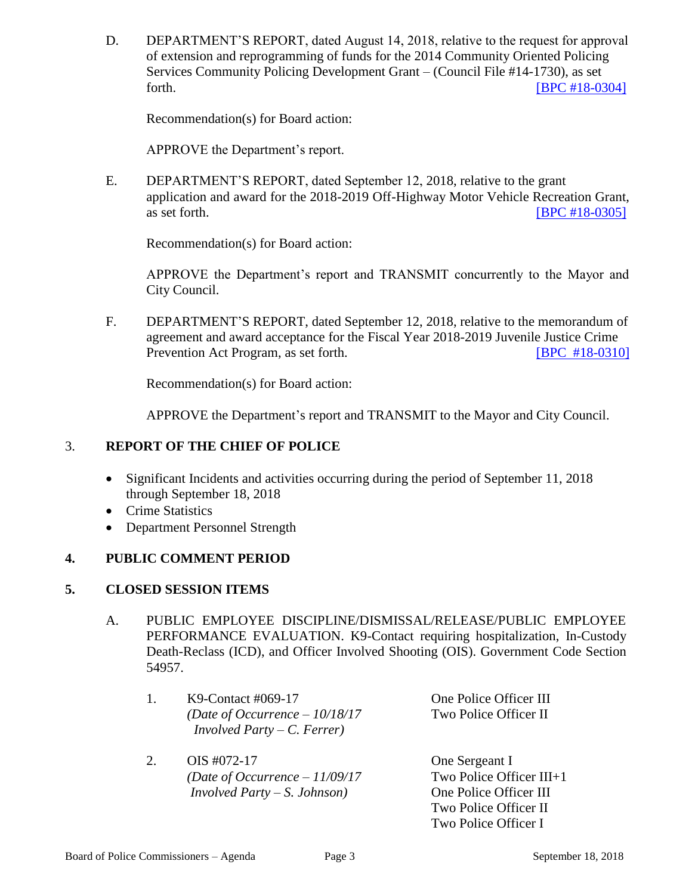D. DEPARTMENT'S REPORT, dated August 14, 2018, relative to the request for approval of extension and reprogramming of funds for the 2014 Community Oriented Policing Services Community Policing Development Grant – (Council File #14-1730), as set forth. **EXECUTE: EXECUTE: EXECUTE: EXECUTE: EXECUTE: EXECUTE: EXECUTE: EXECUTE: EXECUTE: EXECUTE: EXECUTE: EXECUTE: EXECUTE: EXECUTE: EXECUTE: EXECUTE: EXECUTE: EXECUTE: EXECUTE: EXECU** 

Recommendation(s) for Board action:

APPROVE the Department's report.

E. DEPARTMENT'S REPORT, dated September 12, 2018, relative to the grant application and award for the 2018-2019 Off-Highway Motor Vehicle Recreation Grant, as set forth. **IBPC #18-0305** 

Recommendation(s) for Board action:

APPROVE the Department's report and TRANSMIT concurrently to the Mayor and City Council.

F. DEPARTMENT'S REPORT, dated September 12, 2018, relative to the memorandum of agreement and award acceptance for the Fiscal Year 2018-2019 Juvenile Justice Crime Prevention Act Program, as set forth. [\[BPC #18-0310\]](http://www.lapdpolicecom.lacity.org/091818/BPC_18-0310.pdf)

Recommendation(s) for Board action:

APPROVE the Department's report and TRANSMIT to the Mayor and City Council.

## 3. **REPORT OF THE CHIEF OF POLICE**

- Significant Incidents and activities occurring during the period of September 11, 2018 through September 18, 2018
- Crime Statistics
- Department Personnel Strength

## **4. PUBLIC COMMENT PERIOD**

#### **5. CLOSED SESSION ITEMS**

A. PUBLIC EMPLOYEE DISCIPLINE/DISMISSAL/RELEASE/PUBLIC EMPLOYEE PERFORMANCE EVALUATION. K9-Contact requiring hospitalization, In-Custody Death-Reclass (ICD), and Officer Involved Shooting (OIS). Government Code Section 54957.

| One Police Officer III                                   |
|----------------------------------------------------------|
| Two Police Officer II<br>(Date of Occurrence $-10/18/17$ |
|                                                          |
|                                                          |

- 2. OIS #072-17 One Sergeant I *(Date of Occurrence – 11/09/17* Two Police Officer III+1 *Involved Party – S. Johnson)* One Police Officer III
- Two Police Officer II Two Police Officer I